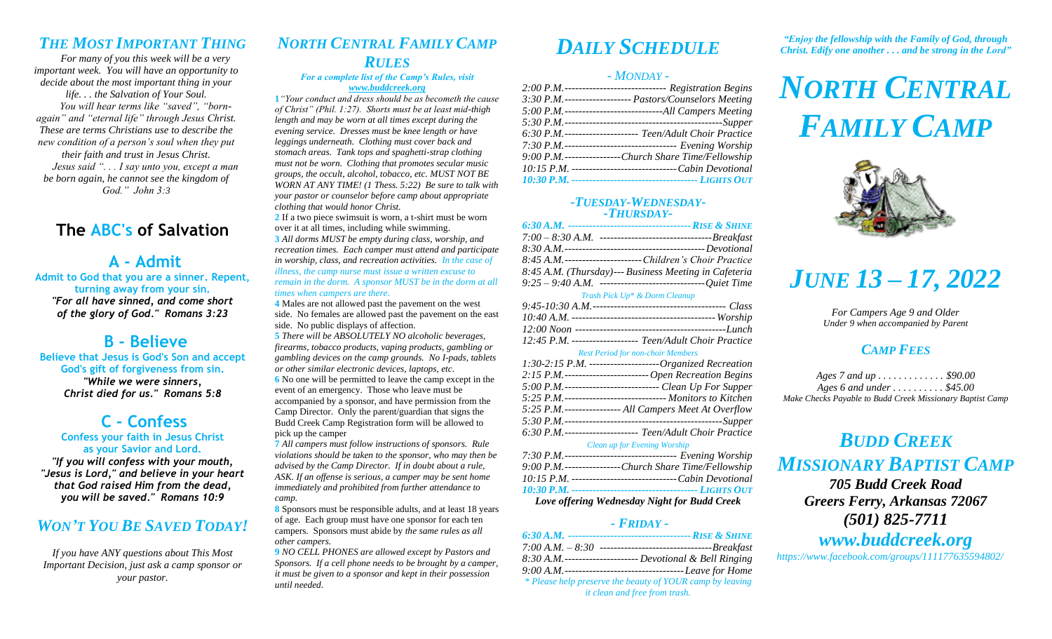## *THE MOST IMPORTANT THING*

*For many of you this week will be a very important week. You will have an opportunity to decide about the most important thing in your life. . . the Salvation of Your Soul.*

*You will hear terms like "saved", "bornagain" and "eternal life" through Jesus Christ. These are terms Christians use to describe the new condition of a person's soul when they put their faith and trust in Jesus Christ. Jesus said ". . . I say unto you, except a man be born again, he cannot see the kingdom of God." John 3:3*

## **The ABC's of Salvation**

### **A - Admit**

**Admit to God that you are a sinner. Repent, turning away from your sin.** *"For all have sinned, and come short of the glory of God." Romans 3:23*

### **B - Believe**

**Believe that Jesus is God's Son and accept God's gift of forgiveness from sin.** *"While we were sinners, Christ died for us." Romans 5:8*

### **C - Confess Confess your faith in Jesus Christ**

**as your Savior and Lord.** *"If you will confess with your mouth, "Jesus is Lord," and believe in your heart that God raised Him from the dead, you will be saved." Romans 10:9*

### *WON'T YOU BE SAVED TODAY!*

*If you have ANY questions about This Most Important Decision, just ask a camp sponsor or your pastor.*

## *NORTH CENTRAL FAMILY CAMP RULES*

### *For a complete list of the Camp's Rules, visit [www.buddcreek.org](http://www.buddcreek.org/)*

**1***"Your conduct and dress should be as becometh the cause of Christ" (Phil. 1:27). Shorts must be at least mid-thigh length and may be worn at all times except during the evening service. Dresses must be knee length or have leggings underneath. Clothing must cover back and stomach areas. Tank tops and spaghetti-strap clothing must not be worn. Clothing that promotes secular music groups, the occult, alcohol, tobacco, etc. MUST NOT BE WORN AT ANY TIME! (1 Thess. 5:22) Be sure to talk with your pastor or counselor before camp about appropriate clothing that would honor Christ.*

**2** If a two piece swimsuit is worn, a t-shirt must be worn over it at all times, including while swimming. **3** *All dorms MUST be empty during class, worship, and recreation times. Each camper must attend and participate in worship, class, and recreation activities. In the case of* 

*illness, the camp nurse must issue a written excuse to remain in the dorm. A sponsor MUST be in the dorm at all times when campers are there*.

**4** Males are not allowed past the pavement on the west side. No females are allowed past the pavement on the east side. No public displays of affection.

**5** *There will be ABSOLUTELY NO alcoholic beverages, firearms, tobacco products, vaping products, gambling or gambling devices on the camp grounds. No I-pads, tablets or other similar electronic devices, laptops, etc.* **6** No one will be permitted to leave the camp except in the event of an emergency. Those who leave must be accompanied by a sponsor, and have permission from the Camp Director. Only the parent/guardian that signs the Budd Creek Camp Registration form will be allowed to pick up the camper

**7** *All campers must follow instructions of sponsors. Rule violations should be taken to the sponsor, who may then be advised by the Camp Director. If in doubt about a rule, ASK. If an offense is serious, a camper may be sent home immediately and prohibited from further attendance to camp.*

**8** Sponsors must be responsible adults, and at least 18 years of age. Each group must have one sponsor for each ten campers. Sponsors must abide by *the same rules as all other campers.*

**9** *NO CELL PHONES are allowed except by Pastors and Sponsors. If a cell phone needs to be brought by a camper, it must be given to a sponsor and kept in their possession until needed*.

# *DAILY SCHEDULE*

### *- MONDAY -*

| 2:00 P.M.------------------------------ Registration Begins |
|-------------------------------------------------------------|
| 3:30 P.M.------------------ Pastors/Counselors Meeting      |
| 5:00 P.M.-----------------------------All Campers Meeting   |
|                                                             |
| 6:30 P.M.-------------------- Teen/Adult Choir Practice     |
| 7:30 P.M. -------------------------------- Evening Worship  |
| 9:00 P.M.---------------Church Share Time/Fellowship        |
| 10:15 P.M. -----------------------------Cabin Devotional    |
|                                                             |

### *-TUESDAY-WEDNESDAY- -THURSDAY-*

| 8:45 A.M. ----------------------- Children's Choir Practice                      |
|----------------------------------------------------------------------------------|
| 8:45 A.M. (Thursday)--- Business Meeting in Cafeteria                            |
| $9:25 - 9:40$ A.M. --------------------------------Quiet Time                    |
| $\mathbf{r}$ and $\mathbf{r}$ and $\mathbf{r}$ and $\mathbf{r}$ and $\mathbf{r}$ |

#### *Trash Pick Up\* & Dorm Cleanup*

| 12:45 P.M. ------------------- Teen/Adult Choir Practice                                                                                                                   |
|----------------------------------------------------------------------------------------------------------------------------------------------------------------------------|
| $\mathbf{D}_{\text{max}}$ $\mathbf{D}_{\text{max}}$ of $\mathbf{J}_{\text{max}}$ and $\mathbf{L}_{\text{max}}$ and $\mathbf{M}_{\text{max}}$ and $\mathbf{L}_{\text{max}}$ |

#### *Rest Period for non-choir Members*

| 1:30-2:15 P.M. -------------------Organized Recreation     |
|------------------------------------------------------------|
| 2:15 P.M.----------------------- Open Recreation Begins    |
| 5:00 P.M.-------------------------- Clean Up For Supper    |
| 5:25 P.M.----------------------------- Monitors to Kitchen |
| 5:25 P.M.--------------- All Campers Meet At Overflow      |
|                                                            |
| 6:30 P.M.-------------------- Teen/Adult Choir Practice    |
|                                                            |

#### *Clean up for Evening Worship*

| Love offering Wednesday Night for Budd Creek                |
|-------------------------------------------------------------|
|                                                             |
| 10:15 P.M. ------------------------------- Cabin Devotional |
| 9:00 P.M.---------------Church Share Time/Fellowship        |
| 7:30 P.M.-------------------------------- Evening Worship   |

### *- FRIDAY -*

| 8:30 A.M.--------------------- Devotional & Bell Ringing  |
|-----------------------------------------------------------|
|                                                           |
| * Please help preserve the beauty of YOUR camp by leaving |
| it clean and free from trash.                             |

*"Enjoy the fellowship with the Family of God, through Christ. Edify one another . . . and be strong in the Lord"*

# *NORTH CENTRAL FAMILY CAMP*



# *JUNE 13 – 17, 2022*

*For Campers Age 9 and Older Under 9 when accompanied by Parent*

### *CAMP FEES*

*Ages 7 and up . . . . . . . . . . . . . \$90.00 Ages 6 and under . . . . . . . . . . \$45.00 Make Checks Payable to Budd Creek Missionary Baptist Camp*

*BUDD CREEK MISSIONARY BAPTIST CAMP*

*705 Budd Creek Road Greers Ferry, Arkansas 72067 (501) 825-7711 www.buddcreek.org*

*https://www.facebook.com/groups/111177635594802/*